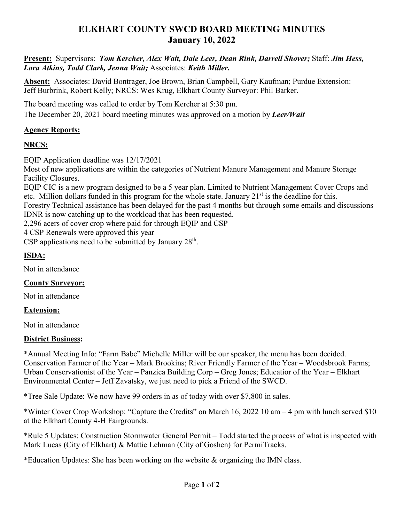# **ELKHART COUNTY SWCD BOARD MEETING MINUTES January 10, 2022**

**Present:** Supervisors: *Tom Kercher, Alex Wait, Dale Leer, Dean Rink, Darrell Shover;* Staff: *Jim Hess, Lora Atkins, Todd Clark, Jenna Wait;* Associates: *Keith Miller.*

**Absent:** Associates: David Bontrager, Joe Brown, Brian Campbell, Gary Kaufman; Purdue Extension: Jeff Burbrink, Robert Kelly; NRCS: Wes Krug, Elkhart County Surveyor: Phil Barker.

The board meeting was called to order by Tom Kercher at 5:30 pm.

The December 20, 2021 board meeting minutes was approved on a motion by *Leer/Wait*

### **Agency Reports:**

### **NRCS:**

EQIP Application deadline was 12/17/2021

Most of new applications are within the categories of Nutrient Manure Management and Manure Storage Facility Closures.

EQIP CIC is a new program designed to be a 5 year plan. Limited to Nutrient Management Cover Crops and etc. Million dollars funded in this program for the whole state. January  $21<sup>st</sup>$  is the deadline for this.

Forestry Technical assistance has been delayed for the past 4 months but through some emails and discussions IDNR is now catching up to the workload that has been requested.

2,296 acers of cover crop where paid for through EQIP and CSP

4 CSP Renewals were approved this year

CSP applications need to be submitted by January  $28<sup>th</sup>$ .

### **ISDA:**

Not in attendance

#### **County Surveyor:**

Not in attendance

#### **Extension:**

Not in attendance

#### **District Business:**

\*Annual Meeting Info: "Farm Babe" Michelle Miller will be our speaker, the menu has been decided. Conservation Farmer of the Year – Mark Brookins; River Friendly Farmer of the Year – Woodsbrook Farms; Urban Conservationist of the Year – Panzica Building Corp – Greg Jones; Educatior of the Year – Elkhart Environmental Center – Jeff Zavatsky, we just need to pick a Friend of the SWCD.

\*Tree Sale Update: We now have 99 orders in as of today with over \$7,800 in sales.

\*Winter Cover Crop Workshop: "Capture the Credits" on March 16, 2022 10 am – 4 pm with lunch served \$10 at the Elkhart County 4-H Fairgrounds.

\*Rule 5 Updates: Construction Stormwater General Permit – Todd started the process of what is inspected with Mark Lucas (City of Elkhart) & Mattie Lehman (City of Goshen) for PermiTracks.

\*Education Updates: She has been working on the website  $\&$  organizing the IMN class.